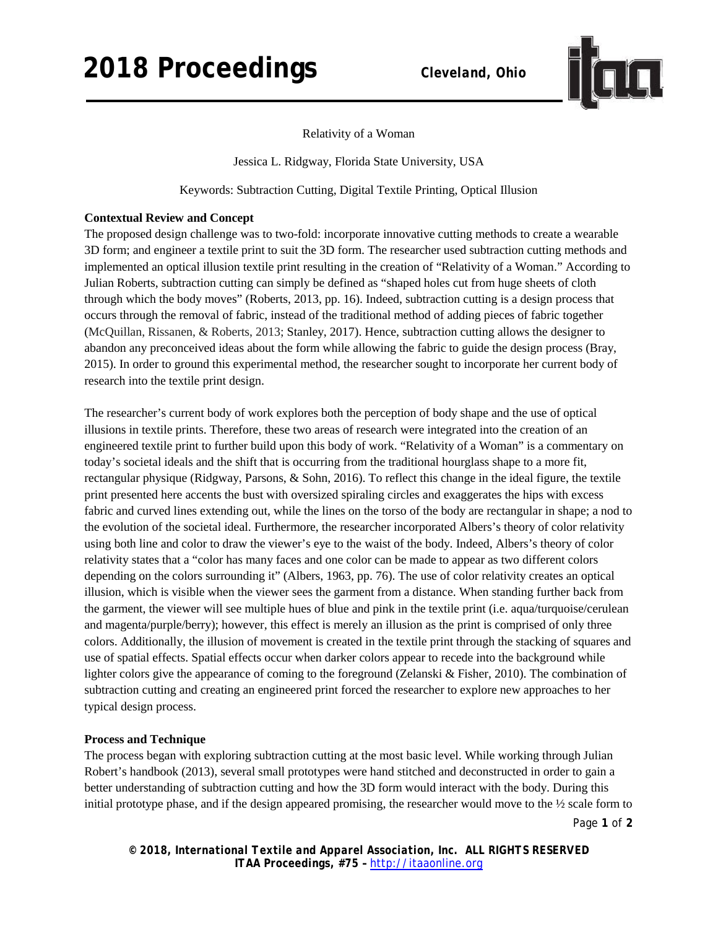# **2018 Proceedings** *Cleveland, Ohio*



# Relativity of a Woman

Jessica L. Ridgway, Florida State University, USA

Keywords: Subtraction Cutting, Digital Textile Printing, Optical Illusion

# **Contextual Review and Concept**

The proposed design challenge was to two-fold: incorporate innovative cutting methods to create a wearable 3D form; and engineer a textile print to suit the 3D form. The researcher used subtraction cutting methods and implemented an optical illusion textile print resulting in the creation of "Relativity of a Woman." According to Julian Roberts, subtraction cutting can simply be defined as "shaped holes cut from huge sheets of cloth through which the body moves" (Roberts, 2013, pp. 16). Indeed, subtraction cutting is a design process that occurs through the removal of fabric, instead of the traditional method of adding pieces of fabric together (McQuillan, Rissanen, & Roberts, 2013; Stanley, 2017). Hence, subtraction cutting allows the designer to abandon any preconceived ideas about the form while allowing the fabric to guide the design process (Bray, 2015). In order to ground this experimental method, the researcher sought to incorporate her current body of research into the textile print design.

The researcher's current body of work explores both the perception of body shape and the use of optical illusions in textile prints. Therefore, these two areas of research were integrated into the creation of an engineered textile print to further build upon this body of work. "Relativity of a Woman" is a commentary on today's societal ideals and the shift that is occurring from the traditional hourglass shape to a more fit, rectangular physique (Ridgway, Parsons, & Sohn, 2016). To reflect this change in the ideal figure, the textile print presented here accents the bust with oversized spiraling circles and exaggerates the hips with excess fabric and curved lines extending out, while the lines on the torso of the body are rectangular in shape; a nod to the evolution of the societal ideal. Furthermore, the researcher incorporated Albers's theory of color relativity using both line and color to draw the viewer's eye to the waist of the body. Indeed, Albers's theory of color relativity states that a "color has many faces and one color can be made to appear as two different colors depending on the colors surrounding it" (Albers, 1963, pp. 76). The use of color relativity creates an optical illusion, which is visible when the viewer sees the garment from a distance. When standing further back from the garment, the viewer will see multiple hues of blue and pink in the textile print (i.e. aqua/turquoise/cerulean and magenta/purple/berry); however, this effect is merely an illusion as the print is comprised of only three colors. Additionally, the illusion of movement is created in the textile print through the stacking of squares and use of spatial effects. Spatial effects occur when darker colors appear to recede into the background while lighter colors give the appearance of coming to the foreground (Zelanski & Fisher, 2010). The combination of subtraction cutting and creating an engineered print forced the researcher to explore new approaches to her typical design process.

### **Process and Technique**

The process began with exploring subtraction cutting at the most basic level. While working through Julian Robert's handbook (2013), several small prototypes were hand stitched and deconstructed in order to gain a better understanding of subtraction cutting and how the 3D form would interact with the body. During this initial prototype phase, and if the design appeared promising, the researcher would move to the ½ scale form to

Page **1** of **2**

*© 2018, International Textile and Apparel Association, Inc. ALL RIGHTS RESERVED ITAA Proceedings, #75 –* [http://itaaonline.org](http://itaaonline.org/)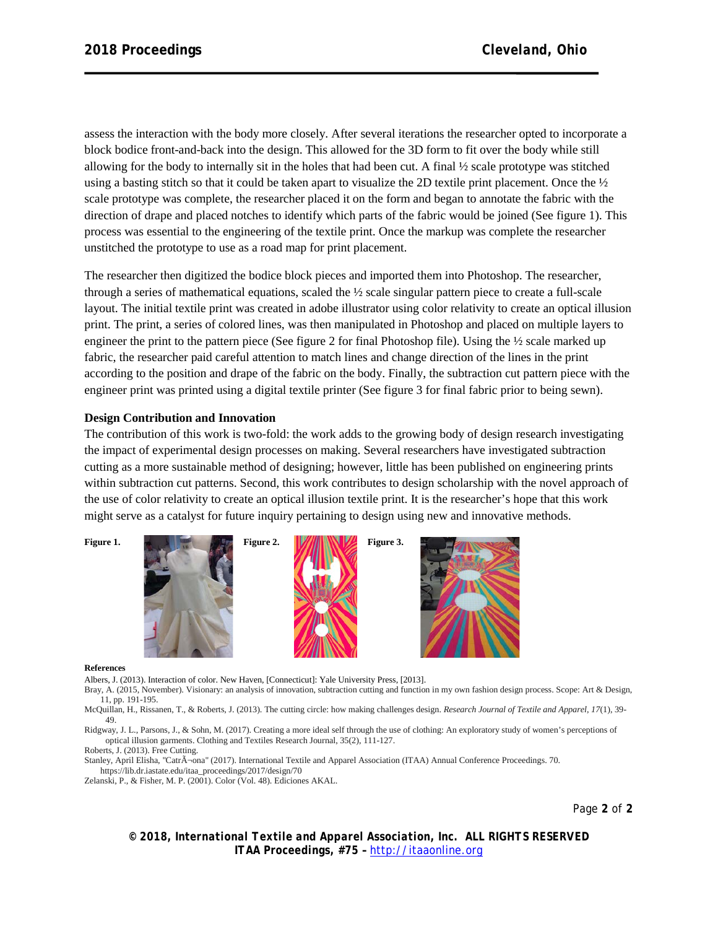assess the interaction with the body more closely. After several iterations the researcher opted to incorporate a block bodice front-and-back into the design. This allowed for the 3D form to fit over the body while still allowing for the body to internally sit in the holes that had been cut. A final ½ scale prototype was stitched using a basting stitch so that it could be taken apart to visualize the 2D textile print placement. Once the ½ scale prototype was complete, the researcher placed it on the form and began to annotate the fabric with the direction of drape and placed notches to identify which parts of the fabric would be joined (See figure 1). This process was essential to the engineering of the textile print. Once the markup was complete the researcher unstitched the prototype to use as a road map for print placement.

The researcher then digitized the bodice block pieces and imported them into Photoshop. The researcher, through a series of mathematical equations, scaled the ½ scale singular pattern piece to create a full-scale layout. The initial textile print was created in adobe illustrator using color relativity to create an optical illusion print. The print, a series of colored lines, was then manipulated in Photoshop and placed on multiple layers to engineer the print to the pattern piece (See figure 2 for final Photoshop file). Using the ½ scale marked up fabric, the researcher paid careful attention to match lines and change direction of the lines in the print according to the position and drape of the fabric on the body. Finally, the subtraction cut pattern piece with the engineer print was printed using a digital textile printer (See figure 3 for final fabric prior to being sewn).

## **Design Contribution and Innovation**

The contribution of this work is two-fold: the work adds to the growing body of design research investigating the impact of experimental design processes on making. Several researchers have investigated subtraction cutting as a more sustainable method of designing; however, little has been published on engineering prints within subtraction cut patterns. Second, this work contributes to design scholarship with the novel approach of the use of color relativity to create an optical illusion textile print. It is the researcher's hope that this work might serve as a catalyst for future inquiry pertaining to design using new and innovative methods.



#### **References**

Albers, J. (2013). Interaction of color. New Haven, [Connecticut]: Yale University Press, [2013].

Bray, A. (2015, November). Visionary: an analysis of innovation, subtraction cutting and function in my own fashion design process. Scope: Art & Design, 11, pp. 191-195.

McQuillan, H., Rissanen, T., & Roberts, J. (2013). The cutting circle: how making challenges design. *Research Journal of Textile and Apparel*, *17*(1), 39- 49.

Ridgway, J. L., Parsons, J., & Sohn, M. (2017). Creating a more ideal self through the use of clothing: An exploratory study of women's perceptions of optical illusion garments. Clothing and Textiles Research Journal, 35(2), 111-127.

Roberts, J. (2013). Free Cutting.

Stanley, April Elisha, "Catrìona" (2017). International Textile and Apparel Association (ITAA) Annual Conference Proceedings. 70. https://lib.dr.iastate.edu/itaa\_proceedings/2017/design/70

Zelanski, P., & Fisher, M. P. (2001). Color (Vol. 48). Ediciones AKAL.

Page **2** of **2**

*© 2018, International Textile and Apparel Association, Inc. ALL RIGHTS RESERVED ITAA Proceedings, #75 –* [http://itaaonline.org](http://itaaonline.org/)